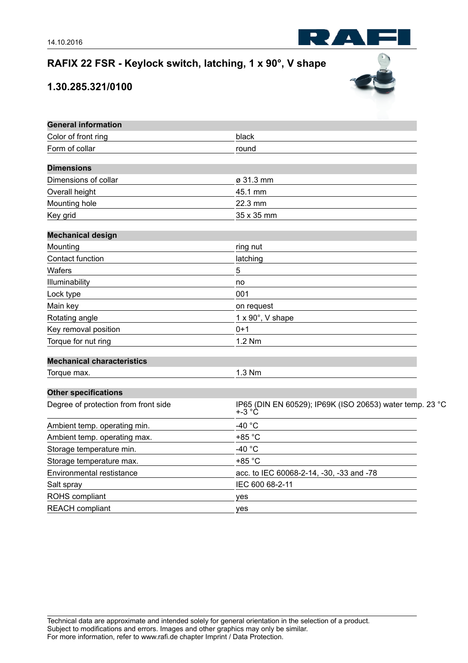## **RAFIX 22 FSR - Keylock switch, latching, 1 x 90°, V shape**

## **1.30.285.321/0100**



R Z

| <b>General information</b>           |                                                                       |
|--------------------------------------|-----------------------------------------------------------------------|
| Color of front ring                  | black                                                                 |
| Form of collar                       | round                                                                 |
| <b>Dimensions</b>                    |                                                                       |
| Dimensions of collar                 | ø 31.3 mm                                                             |
| Overall height                       | 45.1 mm                                                               |
| Mounting hole                        | 22.3 mm                                                               |
| Key grid                             | 35 x 35 mm                                                            |
| <b>Mechanical design</b>             |                                                                       |
| Mounting                             | ring nut                                                              |
| Contact function                     | latching                                                              |
| Wafers                               | 5                                                                     |
| Illuminability                       | no                                                                    |
| Lock type                            | 001                                                                   |
| Main key                             | on request                                                            |
| Rotating angle                       | 1 x 90°, V shape                                                      |
| Key removal position                 | $0 + 1$                                                               |
| Torque for nut ring                  | 1.2 Nm                                                                |
| <b>Mechanical characteristics</b>    |                                                                       |
| Torque max.                          | 1.3 Nm                                                                |
| <b>Other specifications</b>          |                                                                       |
| Degree of protection from front side | IP65 (DIN EN 60529); IP69K (ISO 20653) water temp. 23 °C<br>$+ -3 °C$ |
| Ambient temp. operating min.         | -40 $^{\circ}$ C                                                      |
| Ambient temp. operating max.         | +85 °C                                                                |
| Storage temperature min.             | -40 $^{\circ}$ C                                                      |
| Storage temperature max.             | +85 °C                                                                |
| Environmental restistance            | acc. to IEC 60068-2-14, -30, -33 and -78                              |
| Salt spray                           | IEC 600 68-2-11                                                       |
| ROHS compliant                       | yes                                                                   |
| <b>REACH</b> compliant               | yes                                                                   |